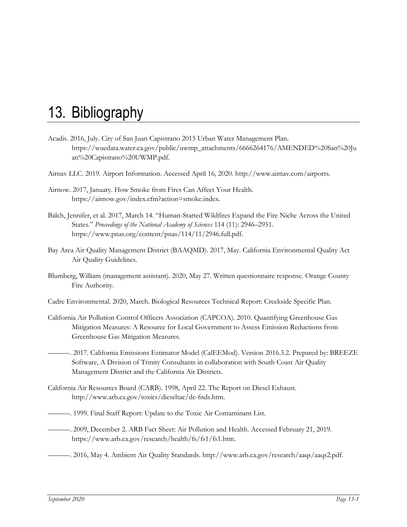- Acadis. 2016, July. City of San Juan Capistrano 2015 Urban Water Management Plan. https://wuedata.water.ca.gov/public/uwmp\_attachments/6666264176/AMENDED%20San%20Ju an%20Capistrano%20UWMP.pdf.
- Airnav LLC. 2019. Airport Information. Accessed April 16, 2020. http://www.airnav.com/airports.
- Airnow. 2017, January. How Smoke from Fires Can Affect Your Health. https://airnow.gov/index.cfm?action=smoke.index.
- Balch, Jennifer, et al. 2017, March 14. "Human-Started Wildfires Expand the Fire Niche Across the United States." *Proceedings of the National Academy of Sciences* 114 (11): 2946–2951. https://www.pnas.org/content/pnas/114/11/2946.full.pdf.
- Bay Area Air Quality Management District (BAAQMD). 2017, May. California Environmental Quality Act Air Quality Guidelines.
- Blumberg, William (management assistant). 2020, May 27. Written questionnaire response. Orange County Fire Authority.
- Cadre Environmental. 2020, March. Biological Resources Technical Report: Creekside Specific Plan.
- California Air Pollution Control Officers Association (CAPCOA). 2010. Quantifying Greenhouse Gas Mitigation Measures: A Resource for Local Government to Assess Emission Reductions from Greenhouse Gas Mitigation Measures.
- ———. 2017. California Emissions Estimator Model (CalEEMod). Version 2016.3.2. Prepared by: BREEZE Software, A Division of Trinity Consultants in collaboration with South Coast Air Quality Management District and the California Air Districts.
- California Air Resources Board (CARB). 1998, April 22. The Report on Diesel Exhaust. http://www.arb.ca.gov/toxics/dieseltac/de-fnds.htm.
- ———. 1999. Final Staff Report: Update to the Toxic Air Contaminant List.
- ———. 2009, December 2. ARB Fact Sheet: Air Pollution and Health. Accessed February 21, 2019. https://www.arb.ca.gov/research/health/fs/fs1/fs1.htm.
- ———. 2016, May 4. Ambient Air Quality Standards. http://www.arb.ca.gov/research/aaqs/aaqs2.pdf.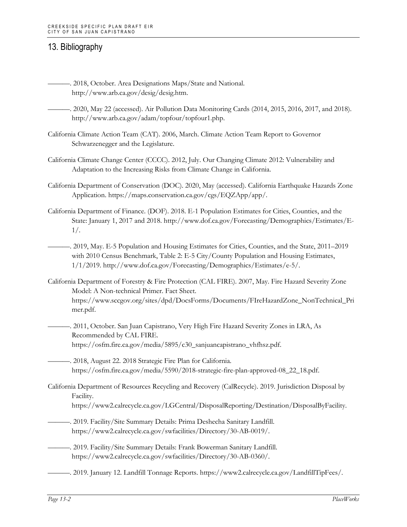- ———. 2018, October. Area Designations Maps/State and National. http://www.arb.ca.gov/desig/desig.htm.
- ———. 2020, May 22 (accessed). Air Pollution Data Monitoring Cards (2014, 2015, 2016, 2017, and 2018). http://www.arb.ca.gov/adam/topfour/topfour1.php.
- California Climate Action Team (CAT). 2006, March. Climate Action Team Report to Governor Schwarzenegger and the Legislature.
- California Climate Change Center (CCCC). 2012, July. Our Changing Climate 2012: Vulnerability and Adaptation to the Increasing Risks from Climate Change in California.
- California Department of Conservation (DOC). 2020, May (accessed). California Earthquake Hazards Zone Application. https://maps.conservation.ca.gov/cgs/EQZApp/app/.
- California Department of Finance. (DOF). 2018. E-1 Population Estimates for Cities, Counties, and the State: January 1, 2017 and 2018. http://www.dof.ca.gov/Forecasting/Demographics/Estimates/E-1/.
	- ———. 2019, May. E-5 Population and Housing Estimates for Cities, Counties, and the State, 2011–2019 with 2010 Census Benchmark, Table 2: E-5 City/County Population and Housing Estimates, 1/1/2019. http://www.dof.ca.gov/Forecasting/Demographics/Estimates/e-5/.
- California Department of Forestry & Fire Protection (CAL FIRE). 2007, May. Fire Hazard Severity Zone Model: A Non-technical Primer. Fact Sheet. https://www.sccgov.org/sites/dpd/DocsForms/Documents/FIreHazardZone\_NonTechnical\_Pri mer.pdf.
	- ———. 2011, October. San Juan Capistrano, Very High Fire Hazard Severity Zones in LRA, As Recommended by CAL FIRE. https://osfm.fire.ca.gov/media/5895/c30\_sanjuancapistrano\_vhfhsz.pdf.
	- -. 2018, August 22. 2018 Strategic Fire Plan for California. https://osfm.fire.ca.gov/media/5590/2018-strategic-fire-plan-approved-08\_22\_18.pdf.
- California Department of Resources Recycling and Recovery (CalRecycle). 2019. Jurisdiction Disposal by Facility. https://www2.calrecycle.ca.gov/LGCentral/DisposalReporting/Destination/DisposalByFacility.
	- -. 2019. Facility/Site Summary Details: Prima Deshecha Sanitary Landfill. https://www2.calrecycle.ca.gov/swfacilities/Directory/30-AB-0019/.
	- ———. 2019. Facility/Site Summary Details: Frank Bowerman Sanitary Landfill. https://www2.calrecycle.ca.gov/swfacilities/Directory/30-AB-0360/.
	- ———. 2019. January 12. Landfill Tonnage Reports. https://www2.calrecycle.ca.gov/LandfillTipFees/.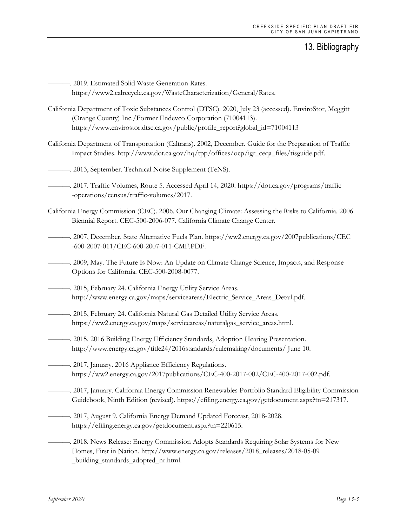———. 2019. Estimated Solid Waste Generation Rates. https://www2.calrecycle.ca.gov/WasteCharacterization/General/Rates.

- California Department of Toxic Substances Control (DTSC). 2020, July 23 (accessed). EnviroStor, Meggitt (Orange County) Inc./Former Endevco Corporation (71004113). https://www.envirostor.dtsc.ca.gov/public/profile\_report?global\_id=71004113
- California Department of Transportation (Caltrans). 2002, December. Guide for the Preparation of Traffic Impact Studies. http://www.dot.ca.gov/hq/tpp/offices/ocp/igr\_ceqa\_files/tisguide.pdf.
- ———. 2013, September. Technical Noise Supplement (TeNS).
	- ———. 2017. Traffic Volumes, Route 5. Accessed April 14, 2020. https://dot.ca.gov/programs/traffic -operations/census/traffic-volumes/2017.
- California Energy Commission (CEC). 2006. Our Changing Climate: Assessing the Risks to California. 2006 Biennial Report. CEC-500-2006-077. California Climate Change Center.
- ———. 2007, December. State Alternative Fuels Plan. https://ww2.energy.ca.gov/2007publications/CEC -600-2007-011/CEC-600-2007-011-CMF.PDF.
- ———. 2009, May. The Future Is Now: An Update on Climate Change Science, Impacts, and Response Options for California. CEC-500-2008-0077.
- -. 2015, February 24. California Energy Utility Service Areas. http://www.energy.ca.gov/maps/serviceareas/Electric\_Service\_Areas\_Detail.pdf.
- ———. 2015, February 24. California Natural Gas Detailed Utility Service Areas. https://ww2.energy.ca.gov/maps/serviceareas/naturalgas\_service\_areas.html.
	- ———. 2015. 2016 Building Energy Efficiency Standards, Adoption Hearing Presentation. http://www.energy.ca.gov/title24/2016standards/rulemaking/documents/ June 10.
- -. 2017, January. 2016 Appliance Efficiency Regulations. https://ww2.energy.ca.gov/2017publications/CEC-400-2017-002/CEC-400-2017-002.pdf.
- ———. 2017, January. California Energy Commission Renewables Portfolio Standard Eligibility Commission Guidebook, Ninth Edition (revised). https://efiling.energy.ca.gov/getdocument.aspx?tn=217317.
- ———. 2017, August 9. California Energy Demand Updated Forecast, 2018-2028. https://efiling.energy.ca.gov/getdocument.aspx?tn=220615.
	- ———. 2018. News Release: Energy Commission Adopts Standards Requiring Solar Systems for New Homes, First in Nation. http://www.energy.ca.gov/releases/2018\_releases/2018-05-09 \_building\_standards\_adopted\_nr.html.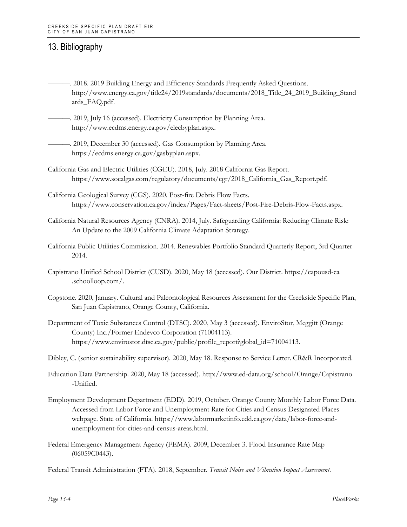- ———. 2018. 2019 Building Energy and Efficiency Standards Frequently Asked Questions. http://www.energy.ca.gov/title24/2019standards/documents/2018\_Title\_24\_2019\_Building\_Stand ards\_FAQ.pdf.
- -. 2019, July 16 (accessed). Electricity Consumption by Planning Area. http://www.ecdms.energy.ca.gov/elecbyplan.aspx.
- ———. 2019, December 30 (accessed). Gas Consumption by Planning Area. https://ecdms.energy.ca.gov/gasbyplan.aspx.
- California Gas and Electric Utilities (CGEU). 2018, July. 2018 California Gas Report. https://www.socalgas.com/regulatory/documents/cgr/2018\_California\_Gas\_Report.pdf.
- California Geological Survey (CGS). 2020. Post-fire Debris Flow Facts. https://www.conservation.ca.gov/index/Pages/Fact-sheets/Post-Fire-Debris-Flow-Facts.aspx.
- California Natural Resources Agency (CNRA). 2014, July. Safeguarding California: Reducing Climate Risk: An Update to the 2009 California Climate Adaptation Strategy.
- California Public Utilities Commission. 2014. Renewables Portfolio Standard Quarterly Report, 3rd Quarter 2014.
- Capistrano Unified School District (CUSD). 2020, May 18 (accessed). Our District. https://capousd-ca .schoolloop.com/.
- Cogstone. 2020, January. Cultural and Paleontological Resources Assessment for the Creekside Specific Plan, San Juan Capistrano, Orange County, California.
- Department of Toxic Substances Control (DTSC). 2020, May 3 (accessed). EnviroStor, Meggitt (Orange County) Inc./Former Endevco Corporation (71004113). https://www.envirostor.dtsc.ca.gov/public/profile\_report?global\_id=71004113.
- Dibley, C. (senior sustainability supervisor). 2020, May 18. Response to Service Letter. CR&R Incorporated.
- Education Data Partnership. 2020, May 18 (accessed). http://www.ed-data.org/school/Orange/Capistrano -Unified.
- Employment Development Department (EDD). 2019, October. Orange County Monthly Labor Force Data. Accessed from Labor Force and Unemployment Rate for Cities and Census Designated Places webpage. State of California. https://www.labormarketinfo.edd.ca.gov/data/labor-force-andunemployment-for-cities-and-census-areas.html.
- Federal Emergency Management Agency (FEMA). 2009, December 3. Flood Insurance Rate Map (06059C0443).
- Federal Transit Administration (FTA). 2018, September. *Transit Noise and Vibration Impact Assessment*.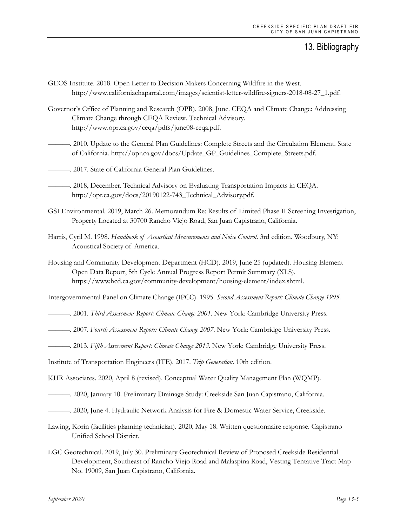- GEOS Institute. 2018. Open Letter to Decision Makers Concerning Wildfire in the West. http://www.californiachaparral.com/images/scientist-letter-wildfire-signers-2018-08-27\_1.pdf.
- Governor's Office of Planning and Research (OPR). 2008, June. CEQA and Climate Change: Addressing Climate Change through CEQA Review. Technical Advisory. http://www.opr.ca.gov/ceqa/pdfs/june08-ceqa.pdf.
- ———. 2010. Update to the General Plan Guidelines: Complete Streets and the Circulation Element. State of California. http://opr.ca.gov/docs/Update\_GP\_Guidelines\_Complete\_Streets.pdf.
- ———. 2017. State of California General Plan Guidelines.
	- ———. 2018, December. Technical Advisory on Evaluating Transportation Impacts in CEQA. http://opr.ca.gov/docs/20190122-743\_Technical\_Advisory.pdf.
- GSI Environmental. 2019, March 26. Memorandum Re: Results of Limited Phase II Screening Investigation, Property Located at 30700 Rancho Viejo Road, San Juan Capistrano, California.
- Harris, Cyril M. 1998. *Handbook of Acoustical Measurements and Noise Control*. 3rd edition. Woodbury, NY: Acoustical Society of America.
- Housing and Community Development Department (HCD). 2019, June 25 (updated). Housing Element Open Data Report, 5th Cycle Annual Progress Report Permit Summary (XLS). https://www.hcd.ca.gov/community-development/housing-element/index.shtml.
- Intergovernmental Panel on Climate Change (IPCC). 1995. *Second Assessment Report: Climate Change 1995*.
- ———. 2001. *Third Assessment Report: Climate Change 2001*. New York: Cambridge University Press.
- ———. 2007. *Fourth Assessment Report: Climate Change 2007*. New York: Cambridge University Press.
- ———. 2013. *Fifth Assessment Report: Climate Change 2013*. New York: Cambridge University Press.
- Institute of Transportation Engineers (ITE). 2017. *Trip Generation*. 10th edition.
- KHR Associates. 2020, April 8 (revised). Conceptual Water Quality Management Plan (WQMP).
- ———. 2020, January 10. Preliminary Drainage Study: Creekside San Juan Capistrano, California.
- ———. 2020, June 4. Hydraulic Network Analysis for Fire & Domestic Water Service, Creekside.
- Lawing, Korin (facilities planning technician). 2020, May 18. Written questionnaire response. Capistrano Unified School District.
- LGC Geotechnical. 2019, July 30. Preliminary Geotechnical Review of Proposed Creekside Residential Development, Southeast of Rancho Viejo Road and Malaspina Road, Vesting Tentative Tract Map No. 19009, San Juan Capistrano, California.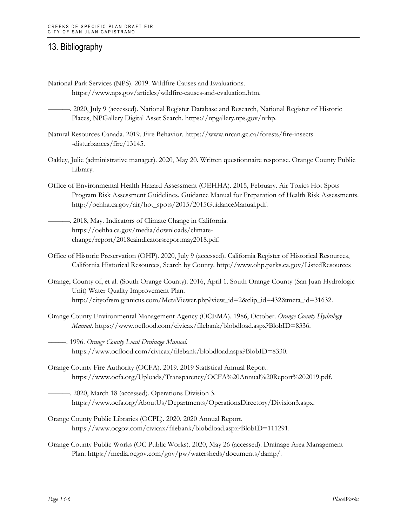- National Park Services (NPS). 2019. Wildfire Causes and Evaluations. https://www.nps.gov/articles/wildfire-causes-and-evaluation.htm.
- ———. 2020, July 9 (accessed). National Register Database and Research, National Register of Historic Places, NPGallery Digital Asset Search. https://npgallery.nps.gov/nrhp.
- Natural Resources Canada. 2019. Fire Behavior. https://www.nrcan.gc.ca/forests/fire-insects -disturbances/fire/13145.
- Oakley, Julie (administrative manager). 2020, May 20. Written questionnaire response. Orange County Public Library.
- Office of Environmental Health Hazard Assessment (OEHHA). 2015, February. Air Toxics Hot Spots Program Risk Assessment Guidelines. Guidance Manual for Preparation of Health Risk Assessments. http://oehha.ca.gov/air/hot\_spots/2015/2015GuidanceManual.pdf.
- ———. 2018, May. Indicators of Climate Change in California. https://oehha.ca.gov/media/downloads/climatechange/report/2018caindicatorsreportmay2018.pdf.
- Office of Historic Preservation (OHP). 2020, July 9 (accessed). California Register of Historical Resources, California Historical Resources, Search by County. http://www.ohp.parks.ca.gov/ListedResources
- Orange, County of, et al. (South Orange County). 2016, April 1. South Orange County (San Juan Hydrologic Unit) Water Quality Improvement Plan. http://cityofrsm.granicus.com/MetaViewer.php?view\_id=2&clip\_id=432&meta\_id=31632.
- Orange County Environmental Management Agency (OCEMA). 1986, October. *Orange County Hydrology Manual*. https://www.ocflood.com/civicax/filebank/blobdload.aspx?BlobID=8336.
- –––––. 1996. *Orange County Local Drainage Manual*. https://www.ocflood.com/civicax/filebank/blobdload.aspx?BlobID=8330.
- Orange County Fire Authority (OCFA). 2019. 2019 Statistical Annual Report. https://www.ocfa.org/Uploads/Transparency/OCFA%20Annual%20Report%202019.pdf.
- ———. 2020, March 18 (accessed). Operations Division 3. https://www.ocfa.org/AboutUs/Departments/OperationsDirectory/Division3.aspx.
- Orange County Public Libraries (OCPL). 2020. 2020 Annual Report. https://www.ocgov.com/civicax/filebank/blobdload.aspx?BlobID=111291.
- Orange County Public Works (OC Public Works). 2020, May 26 (accessed). Drainage Area Management Plan. https://media.ocgov.com/gov/pw/watersheds/documents/damp/.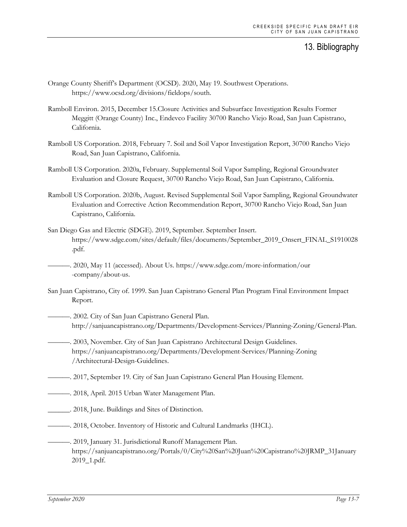- Orange County Sheriff's Department (OCSD). 2020, May 19. Southwest Operations. https://www.ocsd.org/divisions/fieldops/south.
- Ramboll Environ. 2015, December 15.Closure Activities and Subsurface Investigation Results Former Meggitt (Orange County) Inc., Endevco Facility 30700 Rancho Viejo Road, San Juan Capistrano, California.
- Ramboll US Corporation. 2018, February 7. Soil and Soil Vapor Investigation Report, 30700 Rancho Viejo Road, San Juan Capistrano, California.
- Ramboll US Corporation. 2020a, February. Supplemental Soil Vapor Sampling, Regional Groundwater Evaluation and Closure Request, 30700 Rancho Viejo Road, San Juan Capistrano, California.
- Ramboll US Corporation. 2020b, August. Revised Supplemental Soil Vapor Sampling, Regional Groundwater Evaluation and Corrective Action Recommendation Report, 30700 Rancho Viejo Road, San Juan Capistrano, California.
- San Diego Gas and Electric (SDGE). 2019, September. September Insert. https://www.sdge.com/sites/default/files/documents/September\_2019\_Onsert\_FINAL\_S1910028 .pdf.
	- ———. 2020, May 11 (accessed). About Us. https://www.sdge.com/more-information/our -company/about-us.
- San Juan Capistrano, City of. 1999. San Juan Capistrano General Plan Program Final Environment Impact Report.
- ———. 2002. City of San Juan Capistrano General Plan. http://sanjuancapistrano.org/Departments/Development-Services/Planning-Zoning/General-Plan.
- ———. 2003, November. City of San Juan Capistrano Architectural Design Guidelines. https://sanjuancapistrano.org/Departments/Development-Services/Planning-Zoning /Architectural-Design-Guidelines.
- ———. 2017, September 19. City of San Juan Capistrano General Plan Housing Element.
- ———. 2018, April. 2015 Urban Water Management Plan.
- \_\_\_\_\_\_. 2018, June. Buildings and Sites of Distinction.
- ———. 2018, October. Inventory of Historic and Cultural Landmarks (IHCL).
- -. 2019, January 31. Jurisdictional Runoff Management Plan. https://sanjuancapistrano.org/Portals/0/City%20San%20Juan%20Capistrano%20JRMP\_31January 2019\_1.pdf.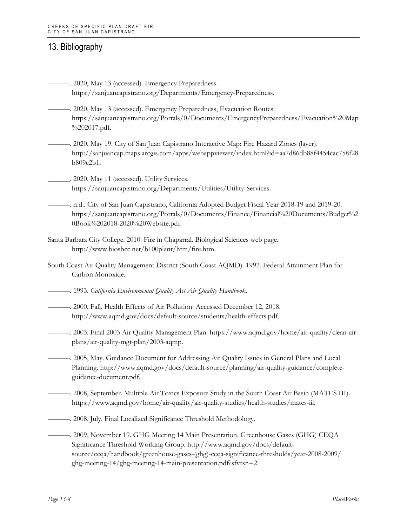- ———. 2020, May 13 (accessed). Emergency Preparedness. https://sanjuancapistrano.org/Departments/Emergency-Preparedness.
- -. 2020, May 13 (accessed). Emergency Preparedness, Evacuation Routes. https://sanjuancapistrano.org/Portals/0/Documents/EmergencyPreparedness/Evacuation%20Map %202017.pdf.

———. 2020, May 19. City of San Juan Capistrano Interactive Map: Fire Hazard Zones (layer). http://sanjuancap.maps.arcgis.com/apps/webappviewer/index.html?id=aa7d86db88f4454cac758f28 b809c2b1.

\_\_\_\_\_\_. 2020, May 11 (accessed). Utility Services. https://sanjuancapistrano.org/Departments/Utilities/Utility-Services.

———. n.d.. City of San Juan Capistrano, California Adopted Budget Fiscal Year 2018-19 and 2019-20. https://sanjuancapistrano.org/Portals/0/Documents/Finance/Financial%20Documents/Budget%2 0Book%202018-2020%20Website.pdf.

- Santa Barbara City College. 2010. Fire in Chaparral. Biological Sciences web page. http://www.biosbcc.net/b100plant/htm/fire.htm.
- South Coast Air Quality Management District (South Coast AQMD). 1992. Federal Attainment Plan for Carbon Monoxide.
- ———. 1993. *California Environmental Quality Act Air Quality Handbook*.
- ———. 2000, Fall. Health Effects of Air Pollution. Accessed December 12, 2018. http://www.aqmd.gov/docs/default-source/students/health-effects.pdf.
- ———. 2003. Final 2003 Air Quality Management Plan. https://www.aqmd.gov/home/air-quality/clean-airplans/air-quality-mgt-plan/2003-aqmp.

———. 2005, May. Guidance Document for Addressing Air Quality Issues in General Plans and Local Planning. http://www.aqmd.gov/docs/default-source/planning/air-quality-guidance/completeguidance-document.pdf.

- ———. 2008, September. Multiple Air Toxics Exposure Study in the South Coast Air Basin (MATES III). https://www.aqmd.gov/home/air-quality/air-quality-studies/health-studies/mates-iii.
- ———. 2008, July. Final Localized Significance Threshold Methodology.

———. 2009, November 19. GHG Meeting 14 Main Presentation. Greenhouse Gases (GHG) CEQA Significance Threshold Working Group. http://www.aqmd.gov/docs/defaultsource/ceqa/handbook/greenhouse-gases-(ghg)-ceqa-significance-thresholds/year-2008-2009/ ghg-meeting-14/ghg-meeting-14-main-presentation.pdf?sfvrsn=2.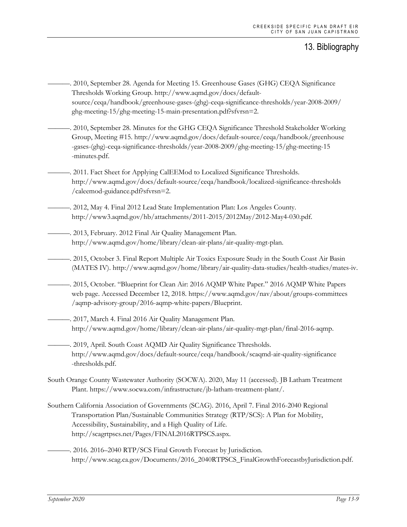- ———. 2010, September 28. Agenda for Meeting 15. Greenhouse Gases (GHG) CEQA Significance Thresholds Working Group. http://www.aqmd.gov/docs/defaultsource/ceqa/handbook/greenhouse-gases-(ghg)-ceqa-significance-thresholds/year-2008-2009/ ghg-meeting-15/ghg-meeting-15-main-presentation.pdf?sfvrsn=2.
- ———. 2010, September 28. Minutes for the GHG CEQA Significance Threshold Stakeholder Working Group, Meeting #15. http://www.aqmd.gov/docs/default-source/ceqa/handbook/greenhouse -gases-(ghg)-ceqa-significance-thresholds/year-2008-2009/ghg-meeting-15/ghg-meeting-15 -minutes.pdf.
- -. 2011. Fact Sheet for Applying CalEEMod to Localized Significance Thresholds. http://www.aqmd.gov/docs/default-source/ceqa/handbook/localized-significance-thresholds /caleemod-guidance.pdf?sfvrsn=2.
- ———. 2012, May 4. Final 2012 Lead State Implementation Plan: Los Angeles County. http://www3.aqmd.gov/hb/attachments/2011-2015/2012May/2012-May4-030.pdf.
- ———. 2013, February. 2012 Final Air Quality Management Plan. http://www.aqmd.gov/home/library/clean-air-plans/air-quality-mgt-plan.
- ———. 2015, October 3. Final Report Multiple Air Toxics Exposure Study in the South Coast Air Basin (MATES IV). http://www.aqmd.gov/home/library/air-quality-data-studies/health-studies/mates-iv.
- ———. 2015, October. "Blueprint for Clean Air: 2016 AQMP White Paper." 2016 AQMP White Papers web page. Accessed December 12, 2018. https://www.aqmd.gov/nav/about/groups-committees /aqmp-advisory-group/2016-aqmp-white-papers/Blueprint.
- ———. 2017, March 4. Final 2016 Air Quality Management Plan. http://www.aqmd.gov/home/library/clean-air-plans/air-quality-mgt-plan/final-2016-aqmp.
	- -. 2019, April. South Coast AQMD Air Quality Significance Thresholds. http://www.aqmd.gov/docs/default-source/ceqa/handbook/scaqmd-air-quality-significance -thresholds.pdf.
- South Orange County Wastewater Authority (SOCWA). 2020, May 11 (accessed). JB Latham Treatment Plant. https://www.socwa.com/infrastructure/jb-latham-treatment-plant/.
- Southern California Association of Governments (SCAG). 2016, April 7. Final 2016-2040 Regional Transportation Plan/Sustainable Communities Strategy (RTP/SCS): A Plan for Mobility, Accessibility, Sustainability, and a High Quality of Life. http://scagrtpscs.net/Pages/FINAL2016RTPSCS.aspx.
- ———. 2016. 2016–2040 RTP/SCS Final Growth Forecast by Jurisdiction. http://www.scag.ca.gov/Documents/2016\_2040RTPSCS\_FinalGrowthForecastbyJurisdiction.pdf.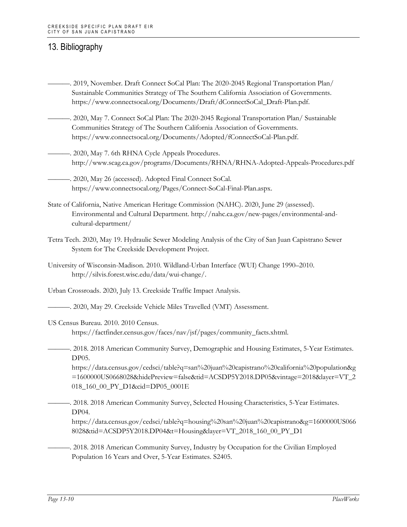- ———. 2019, November. Draft Connect SoCal Plan: The 2020-2045 Regional Transportation Plan/ Sustainable Communities Strategy of The Southern California Association of Governments. https://www.connectsocal.org/Documents/Draft/dConnectSoCal\_Draft-Plan.pdf.
- ———. 2020, May 7. Connect SoCal Plan: The 2020-2045 Regional Transportation Plan/ Sustainable Communities Strategy of The Southern California Association of Governments. https://www.connectsocal.org/Documents/Adopted/fConnectSoCal-Plan.pdf.
- ———. 2020, May 7. 6th RHNA Cycle Appeals Procedures. http://www.scag.ca.gov/programs/Documents/RHNA/RHNA-Adopted-Appeals-Procedures.pdf
- ———. 2020, May 26 (accessed). Adopted Final Connect SoCal. https://www.connectsocal.org/Pages/Connect-SoCal-Final-Plan.aspx.
- State of California, Native American Heritage Commission (NAHC). 2020, June 29 (assessed). Environmental and Cultural Department. http://nahc.ca.gov/new-pages/environmental-andcultural-department/
- Tetra Tech. 2020, May 19. Hydraulic Sewer Modeling Analysis of the City of San Juan Capistrano Sewer System for The Creekside Development Project.
- University of Wisconsin-Madison. 2010. Wildland-Urban Interface (WUI) Change 1990–2010. http://silvis.forest.wisc.edu/data/wui-change/.
- Urban Crossroads. 2020, July 13. Creekside Traffic Impact Analysis.
- ———. 2020, May 29. Creekside Vehicle Miles Travelled (VMT) Assessment.
- US Census Bureau. 2010. 2010 Census.

https://factfinder.census.gov/faces/nav/jsf/pages/community\_facts.xhtml.

———. 2018. 2018 American Community Survey, Demographic and Housing Estimates, 5-Year Estimates. DP05.

https://data.census.gov/cedsci/table?q=san%20juan%20capistrano%20california%20population&g =1600000US0668028&hidePreview=false&tid=ACSDP5Y2018.DP05&vintage=2018&layer=VT\_2 018\_160\_00\_PY\_D1&cid=DP05\_0001E

———. 2018. 2018 American Community Survey, Selected Housing Characteristics, 5-Year Estimates. DP04.

https://data.census.gov/cedsci/table?q=housing%20san%20juan%20capistrano&g=1600000US066 8028&tid=ACSDP5Y2018.DP04&t=Housing&layer=VT\_2018\_160\_00\_PY\_D1

———. 2018. 2018 American Community Survey, Industry by Occupation for the Civilian Employed Population 16 Years and Over, 5-Year Estimates. S2405.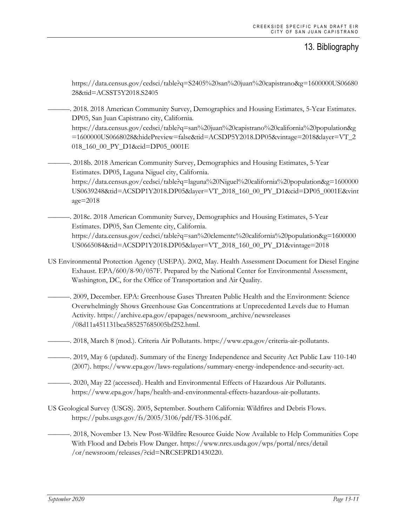https://data.census.gov/cedsci/table?q=S2405%20san%20juan%20capistrano&g=1600000US06680 28&tid=ACSST5Y2018.S2405

———. 2018. 2018 American Community Survey, Demographics and Housing Estimates, 5-Year Estimates. DP05, San Juan Capistrano city, California. https://data.census.gov/cedsci/table?q=san%20juan%20capistrano%20california%20population&g =1600000US0668028&hidePreview=false&tid=ACSDP5Y2018.DP05&vintage=2018&layer=VT\_2 018\_160\_00\_PY\_D1&cid=DP05\_0001E

———. 2018b. 2018 American Community Survey, Demographics and Housing Estimates, 5-Year Estimates. DP05, Laguna Niguel city, California. https://data.census.gov/cedsci/table?q=laguna%20Niguel%20california%20population&g=1600000 US0639248&tid=ACSDP1Y2018.DP05&layer=VT\_2018\_160\_00\_PY\_D1&cid=DP05\_0001E&vint age=2018

———. 2018c. 2018 American Community Survey, Demographics and Housing Estimates, 5-Year Estimates. DP05, San Clemente city, California. https://data.census.gov/cedsci/table?q=san%20clemente%20california%20population&g=1600000 US0665084&tid=ACSDP1Y2018.DP05&layer=VT\_2018\_160\_00\_PY\_D1&vintage=2018

- US Environmental Protection Agency (USEPA). 2002, May. Health Assessment Document for Diesel Engine Exhaust. EPA/600/8-90/057F. Prepared by the National Center for Environmental Assessment, Washington, DC, for the Office of Transportation and Air Quality.
- ———. 2009, December. EPA: Greenhouse Gases Threaten Public Health and the Environment: Science Overwhelmingly Shows Greenhouse Gas Concentrations at Unprecedented Levels due to Human Activity. https://archive.epa.gov/epapages/newsroom\_archive/newsreleases /08d11a451131bca585257685005bf252.html.
- ———. 2018, March 8 (mod.). Criteria Air Pollutants. https://www.epa.gov/criteria-air-pollutants.
- ———. 2019, May 6 (updated). Summary of the Energy Independence and Security Act Public Law 110-140 (2007). https://www.epa.gov/laws-regulations/summary-energy-independence-and-security-act.
- ———. 2020, May 22 (accessed). Health and Environmental Effects of Hazardous Air Pollutants. https://www.epa.gov/haps/health-and-environmental-effects-hazardous-air-pollutants.
- US Geological Survey (USGS). 2005, September. Southern California: Wildfires and Debris Flows. https://pubs.usgs.gov/fs/2005/3106/pdf/FS-3106.pdf.

———. 2018, November 13. New Post-Wildfire Resource Guide Now Available to Help Communities Cope With Flood and Debris Flow Danger. https://www.nrcs.usda.gov/wps/portal/nrcs/detail /or/newsroom/releases/?cid=NRCSEPRD1430220.